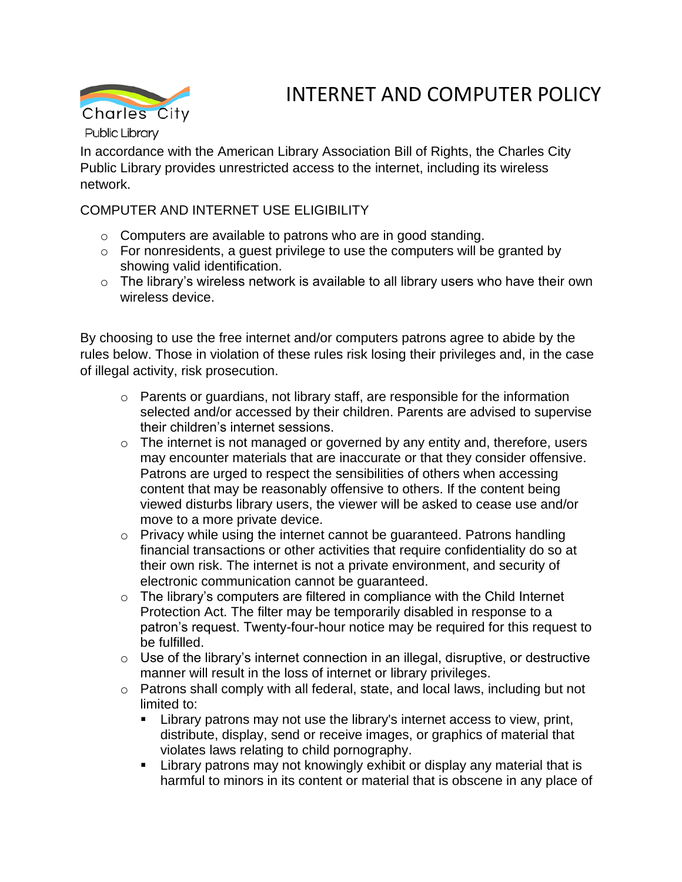

# INTERNET AND COMPUTER POLICY

In accordance with the American Library Association Bill of Rights, the Charles City Public Library provides unrestricted access to the internet, including its wireless network.

## COMPUTER AND INTERNET USE ELIGIBILITY

- o Computers are available to patrons who are in good standing.
- $\circ$  For nonresidents, a guest privilege to use the computers will be granted by showing valid identification.
- o The library's wireless network is available to all library users who have their own wireless device.

By choosing to use the free internet and/or computers patrons agree to abide by the rules below. Those in violation of these rules risk losing their privileges and, in the case of illegal activity, risk prosecution.

- o Parents or guardians, not library staff, are responsible for the information selected and/or accessed by their children. Parents are advised to supervise their children's internet sessions.
- o The internet is not managed or governed by any entity and, therefore, users may encounter materials that are inaccurate or that they consider offensive. Patrons are urged to respect the sensibilities of others when accessing content that may be reasonably offensive to others. If the content being viewed disturbs library users, the viewer will be asked to cease use and/or move to a more private device.
- o Privacy while using the internet cannot be guaranteed. Patrons handling financial transactions or other activities that require confidentiality do so at their own risk. The internet is not a private environment, and security of electronic communication cannot be guaranteed.
- $\circ$  The library's computers are filtered in compliance with the Child Internet Protection Act. The filter may be temporarily disabled in response to a patron's request. Twenty-four-hour notice may be required for this request to be fulfilled.
- $\circ$  Use of the library's internet connection in an illegal, disruptive, or destructive manner will result in the loss of internet or library privileges.
- o Patrons shall comply with all federal, state, and local laws, including but not limited to:
	- **EXECT** Library patrons may not use the library's internet access to view, print, distribute, display, send or receive images, or graphics of material that violates laws relating to child pornography.
	- **EXTER** Library patrons may not knowingly exhibit or display any material that is harmful to minors in its content or material that is obscene in any place of